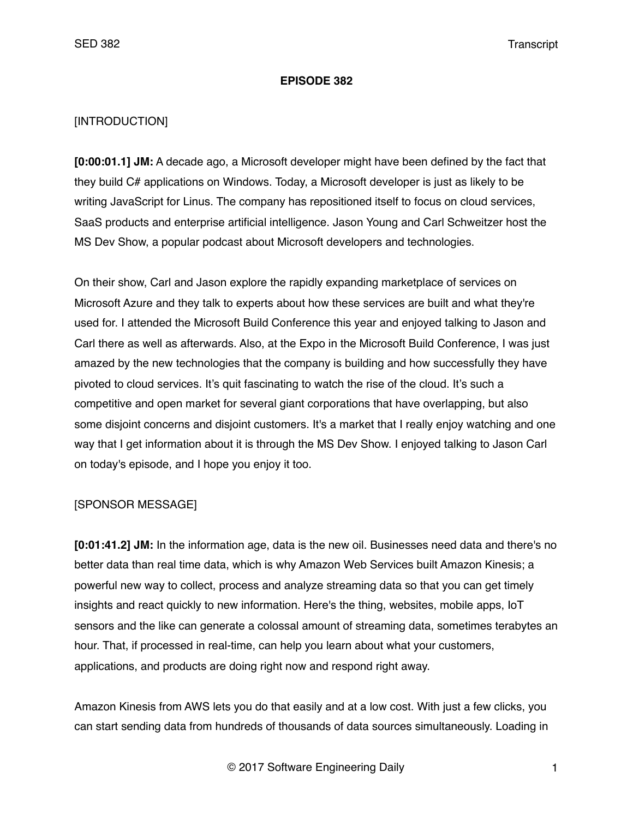#### **EPISODE 382**

### [INTRODUCTION]

**[0:00:01.1] JM:** A decade ago, a Microsoft developer might have been defined by the fact that they build C# applications on Windows. Today, a Microsoft developer is just as likely to be writing JavaScript for Linus. The company has repositioned itself to focus on cloud services, SaaS products and enterprise artificial intelligence. Jason Young and Carl Schweitzer host the MS Dev Show, a popular podcast about Microsoft developers and technologies.

On their show, Carl and Jason explore the rapidly expanding marketplace of services on Microsoft Azure and they talk to experts about how these services are built and what they're used for. I attended the Microsoft Build Conference this year and enjoyed talking to Jason and Carl there as well as afterwards. Also, at the Expo in the Microsoft Build Conference, I was just amazed by the new technologies that the company is building and how successfully they have pivoted to cloud services. It's quit fascinating to watch the rise of the cloud. It's such a competitive and open market for several giant corporations that have overlapping, but also some disjoint concerns and disjoint customers. It's a market that I really enjoy watching and one way that I get information about it is through the MS Dev Show. I enjoyed talking to Jason Carl on today's episode, and I hope you enjoy it too.

### [SPONSOR MESSAGE]

**[0:01:41.2] JM:** In the information age, data is the new oil. Businesses need data and there's no better data than real time data, which is why Amazon Web Services built Amazon Kinesis; a powerful new way to collect, process and analyze streaming data so that you can get timely insights and react quickly to new information. Here's the thing, websites, mobile apps, IoT sensors and the like can generate a colossal amount of streaming data, sometimes terabytes an hour. That, if processed in real-time, can help you learn about what your customers, applications, and products are doing right now and respond right away.

Amazon Kinesis from AWS lets you do that easily and at a low cost. With just a few clicks, you can start sending data from hundreds of thousands of data sources simultaneously. Loading in

© 2017 Software Engineering Daily 1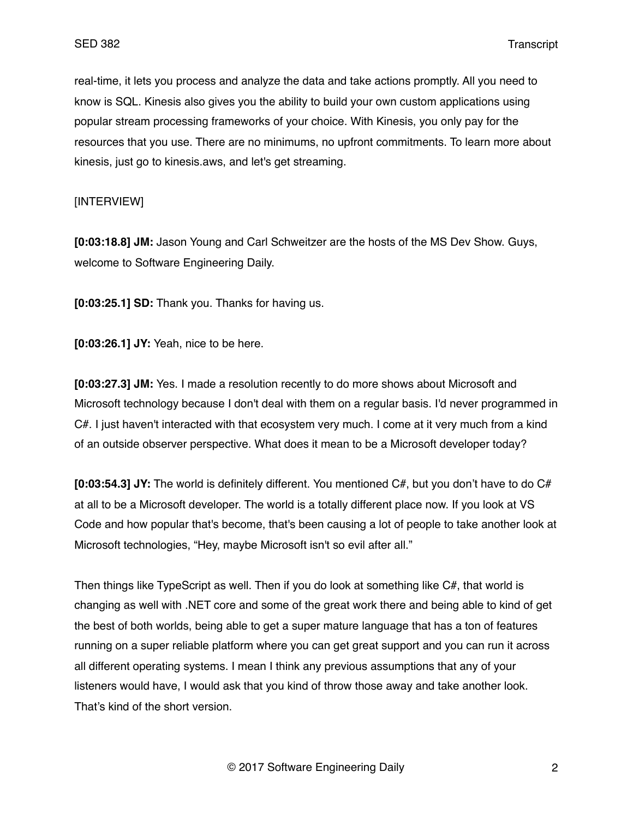real-time, it lets you process and analyze the data and take actions promptly. All you need to know is SQL. Kinesis also gives you the ability to build your own custom applications using popular stream processing frameworks of your choice. With Kinesis, you only pay for the resources that you use. There are no minimums, no upfront commitments. To learn more about kinesis, just go to kinesis.aws, and let's get streaming.

### [INTERVIEW]

**[0:03:18.8] JM:** Jason Young and Carl Schweitzer are the hosts of the MS Dev Show. Guys, welcome to Software Engineering Daily.

**[0:03:25.1] SD:** Thank you. Thanks for having us.

**[0:03:26.1] JY:** Yeah, nice to be here.

**[0:03:27.3] JM:** Yes. I made a resolution recently to do more shows about Microsoft and Microsoft technology because I don't deal with them on a regular basis. I'd never programmed in C#. I just haven't interacted with that ecosystem very much. I come at it very much from a kind of an outside observer perspective. What does it mean to be a Microsoft developer today?

**[0:03:54.3] JY:** The world is definitely different. You mentioned C#, but you don't have to do C# at all to be a Microsoft developer. The world is a totally different place now. If you look at VS Code and how popular that's become, that's been causing a lot of people to take another look at Microsoft technologies, "Hey, maybe Microsoft isn't so evil after all."

Then things like TypeScript as well. Then if you do look at something like C#, that world is changing as well with .NET core and some of the great work there and being able to kind of get the best of both worlds, being able to get a super mature language that has a ton of features running on a super reliable platform where you can get great support and you can run it across all different operating systems. I mean I think any previous assumptions that any of your listeners would have, I would ask that you kind of throw those away and take another look. That's kind of the short version.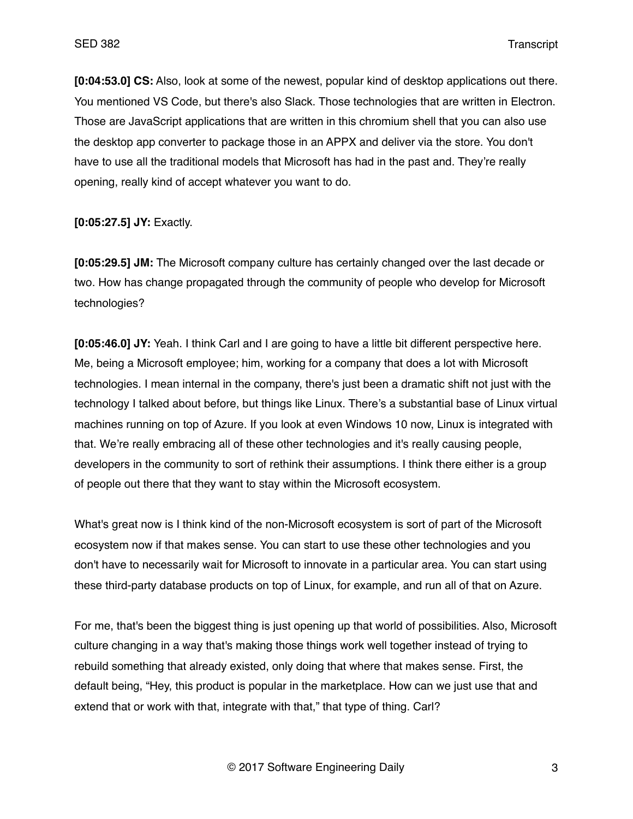**[0:04:53.0] CS:** Also, look at some of the newest, popular kind of desktop applications out there. You mentioned VS Code, but there's also Slack. Those technologies that are written in Electron. Those are JavaScript applications that are written in this chromium shell that you can also use the desktop app converter to package those in an APPX and deliver via the store. You don't have to use all the traditional models that Microsoft has had in the past and. They're really opening, really kind of accept whatever you want to do.

**[0:05:27.5] JY:** Exactly.

**[0:05:29.5] JM:** The Microsoft company culture has certainly changed over the last decade or two. How has change propagated through the community of people who develop for Microsoft technologies?

**[0:05:46.0] JY:** Yeah. I think Carl and I are going to have a little bit different perspective here. Me, being a Microsoft employee; him, working for a company that does a lot with Microsoft technologies. I mean internal in the company, there's just been a dramatic shift not just with the technology I talked about before, but things like Linux. There's a substantial base of Linux virtual machines running on top of Azure. If you look at even Windows 10 now, Linux is integrated with that. We're really embracing all of these other technologies and it's really causing people, developers in the community to sort of rethink their assumptions. I think there either is a group of people out there that they want to stay within the Microsoft ecosystem.

What's great now is I think kind of the non-Microsoft ecosystem is sort of part of the Microsoft ecosystem now if that makes sense. You can start to use these other technologies and you don't have to necessarily wait for Microsoft to innovate in a particular area. You can start using these third-party database products on top of Linux, for example, and run all of that on Azure.

For me, that's been the biggest thing is just opening up that world of possibilities. Also, Microsoft culture changing in a way that's making those things work well together instead of trying to rebuild something that already existed, only doing that where that makes sense. First, the default being, "Hey, this product is popular in the marketplace. How can we just use that and extend that or work with that, integrate with that," that type of thing. Carl?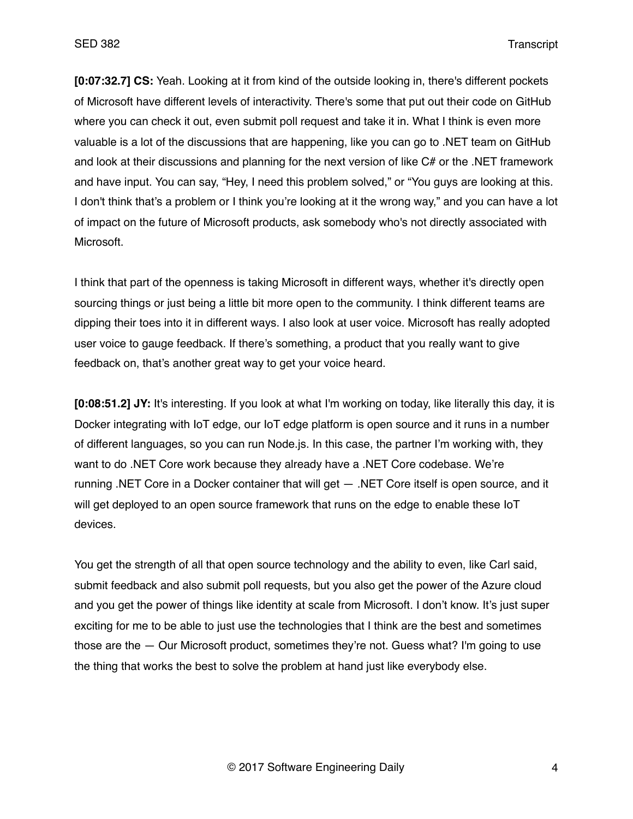**[0:07:32.7] CS:** Yeah. Looking at it from kind of the outside looking in, there's different pockets of Microsoft have different levels of interactivity. There's some that put out their code on GitHub where you can check it out, even submit poll request and take it in. What I think is even more valuable is a lot of the discussions that are happening, like you can go to .NET team on GitHub and look at their discussions and planning for the next version of like C# or the .NET framework and have input. You can say, "Hey, I need this problem solved," or "You guys are looking at this. I don't think that's a problem or I think you're looking at it the wrong way," and you can have a lot of impact on the future of Microsoft products, ask somebody who's not directly associated with Microsoft.

I think that part of the openness is taking Microsoft in different ways, whether it's directly open sourcing things or just being a little bit more open to the community. I think different teams are dipping their toes into it in different ways. I also look at user voice. Microsoft has really adopted user voice to gauge feedback. If there's something, a product that you really want to give feedback on, that's another great way to get your voice heard.

**[0:08:51.2] JY:** It's interesting. If you look at what I'm working on today, like literally this day, it is Docker integrating with IoT edge, our IoT edge platform is open source and it runs in a number of different languages, so you can run Node.js. In this case, the partner I'm working with, they want to do .NET Core work because they already have a .NET Core codebase. We're running .NET Core in a Docker container that will get — .NET Core itself is open source, and it will get deployed to an open source framework that runs on the edge to enable these IoT devices.

You get the strength of all that open source technology and the ability to even, like Carl said, submit feedback and also submit poll requests, but you also get the power of the Azure cloud and you get the power of things like identity at scale from Microsoft. I don't know. It's just super exciting for me to be able to just use the technologies that I think are the best and sometimes those are the — Our Microsoft product, sometimes they're not. Guess what? I'm going to use the thing that works the best to solve the problem at hand just like everybody else.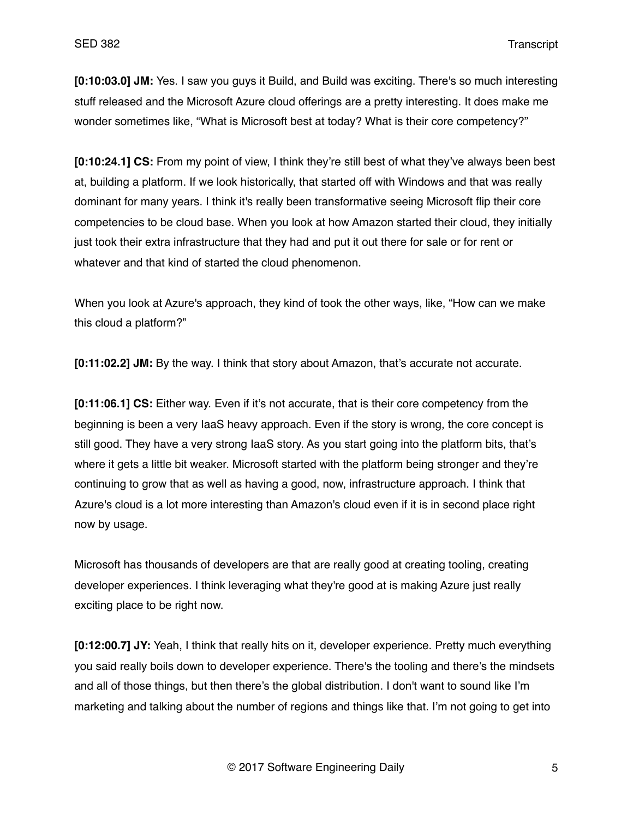**[0:10:03.0] JM:** Yes. I saw you guys it Build, and Build was exciting. There's so much interesting stuff released and the Microsoft Azure cloud offerings are a pretty interesting. It does make me wonder sometimes like, "What is Microsoft best at today? What is their core competency?"

**[0:10:24.1] CS:** From my point of view, I think they're still best of what they've always been best at, building a platform. If we look historically, that started off with Windows and that was really dominant for many years. I think it's really been transformative seeing Microsoft flip their core competencies to be cloud base. When you look at how Amazon started their cloud, they initially just took their extra infrastructure that they had and put it out there for sale or for rent or whatever and that kind of started the cloud phenomenon.

When you look at Azure's approach, they kind of took the other ways, like, "How can we make this cloud a platform?"

**[0:11:02.2] JM:** By the way. I think that story about Amazon, that's accurate not accurate.

**[0:11:06.1] CS:** Either way. Even if it's not accurate, that is their core competency from the beginning is been a very IaaS heavy approach. Even if the story is wrong, the core concept is still good. They have a very strong IaaS story. As you start going into the platform bits, that's where it gets a little bit weaker. Microsoft started with the platform being stronger and they're continuing to grow that as well as having a good, now, infrastructure approach. I think that Azure's cloud is a lot more interesting than Amazon's cloud even if it is in second place right now by usage.

Microsoft has thousands of developers are that are really good at creating tooling, creating developer experiences. I think leveraging what they're good at is making Azure just really exciting place to be right now.

**[0:12:00.7] JY:** Yeah, I think that really hits on it, developer experience. Pretty much everything you said really boils down to developer experience. There's the tooling and there's the mindsets and all of those things, but then there's the global distribution. I don't want to sound like I'm marketing and talking about the number of regions and things like that. I'm not going to get into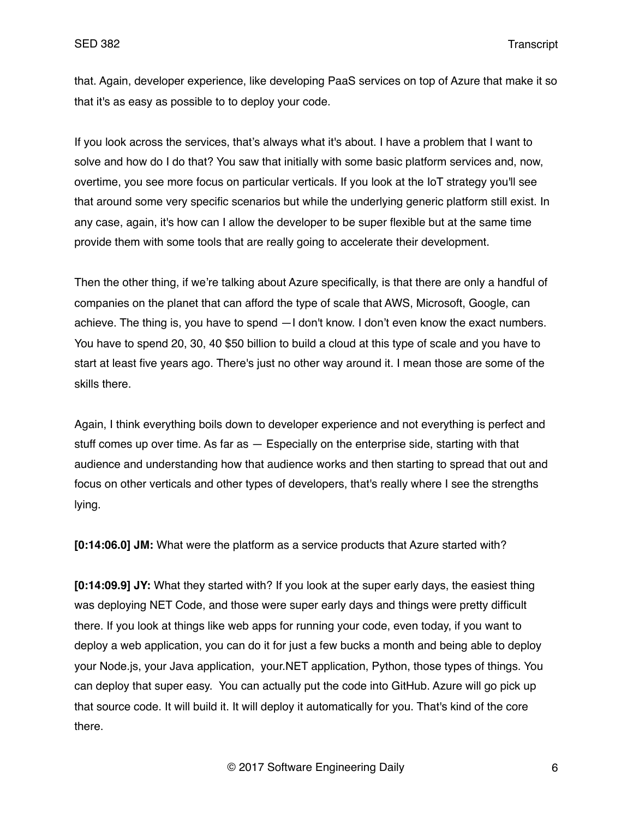that. Again, developer experience, like developing PaaS services on top of Azure that make it so that it's as easy as possible to to deploy your code.

If you look across the services, that's always what it's about. I have a problem that I want to solve and how do I do that? You saw that initially with some basic platform services and, now, overtime, you see more focus on particular verticals. If you look at the IoT strategy you'll see that around some very specific scenarios but while the underlying generic platform still exist. In any case, again, it's how can I allow the developer to be super flexible but at the same time provide them with some tools that are really going to accelerate their development.

Then the other thing, if we're talking about Azure specifically, is that there are only a handful of companies on the planet that can afford the type of scale that AWS, Microsoft, Google, can achieve. The thing is, you have to spend —I don't know. I don't even know the exact numbers. You have to spend 20, 30, 40 \$50 billion to build a cloud at this type of scale and you have to start at least five years ago. There's just no other way around it. I mean those are some of the skills there.

Again, I think everything boils down to developer experience and not everything is perfect and stuff comes up over time. As far as — Especially on the enterprise side, starting with that audience and understanding how that audience works and then starting to spread that out and focus on other verticals and other types of developers, that's really where I see the strengths lying.

**[0:14:06.0] JM:** What were the platform as a service products that Azure started with?

**[0:14:09.9] JY:** What they started with? If you look at the super early days, the easiest thing was deploying NET Code, and those were super early days and things were pretty difficult there. If you look at things like web apps for running your code, even today, if you want to deploy a web application, you can do it for just a few bucks a month and being able to deploy your Node.js, your Java application, your.NET application, Python, those types of things. You can deploy that super easy. You can actually put the code into GitHub. Azure will go pick up that source code. It will build it. It will deploy it automatically for you. That's kind of the core there.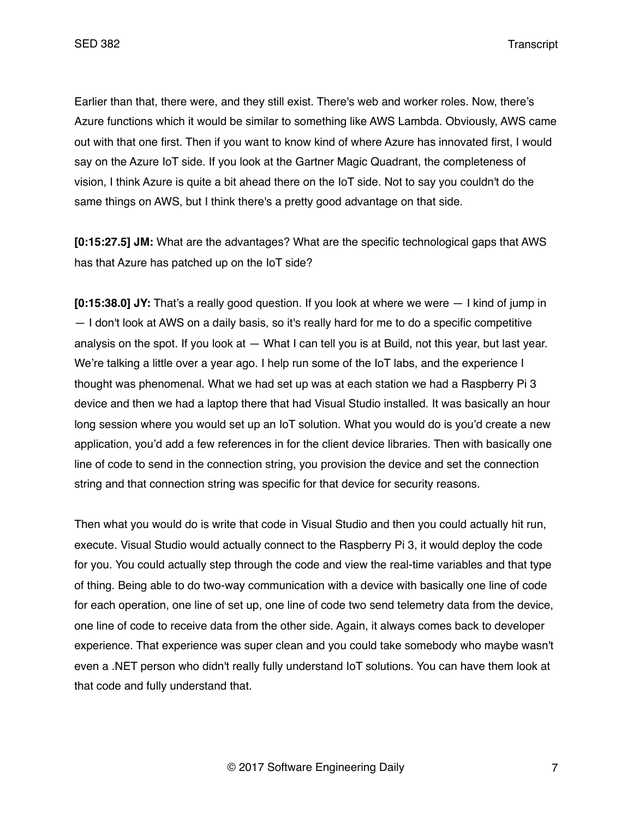Earlier than that, there were, and they still exist. There's web and worker roles. Now, there's Azure functions which it would be similar to something like AWS Lambda. Obviously, AWS came out with that one first. Then if you want to know kind of where Azure has innovated first, I would say on the Azure IoT side. If you look at the Gartner Magic Quadrant, the completeness of vision, I think Azure is quite a bit ahead there on the IoT side. Not to say you couldn't do the same things on AWS, but I think there's a pretty good advantage on that side.

**[0:15:27.5] JM:** What are the advantages? What are the specific technological gaps that AWS has that Azure has patched up on the IoT side?

**[0:15:38.0] JY:** That's a really good question. If you look at where we were — I kind of jump in — I don't look at AWS on a daily basis, so it's really hard for me to do a specific competitive analysis on the spot. If you look at  $-$  What I can tell you is at Build, not this year, but last year. We're talking a little over a year ago. I help run some of the IoT labs, and the experience I thought was phenomenal. What we had set up was at each station we had a Raspberry Pi 3 device and then we had a laptop there that had Visual Studio installed. It was basically an hour long session where you would set up an IoT solution. What you would do is you'd create a new application, you'd add a few references in for the client device libraries. Then with basically one line of code to send in the connection string, you provision the device and set the connection string and that connection string was specific for that device for security reasons.

Then what you would do is write that code in Visual Studio and then you could actually hit run, execute. Visual Studio would actually connect to the Raspberry Pi 3, it would deploy the code for you. You could actually step through the code and view the real-time variables and that type of thing. Being able to do two-way communication with a device with basically one line of code for each operation, one line of set up, one line of code two send telemetry data from the device, one line of code to receive data from the other side. Again, it always comes back to developer experience. That experience was super clean and you could take somebody who maybe wasn't even a .NET person who didn't really fully understand IoT solutions. You can have them look at that code and fully understand that.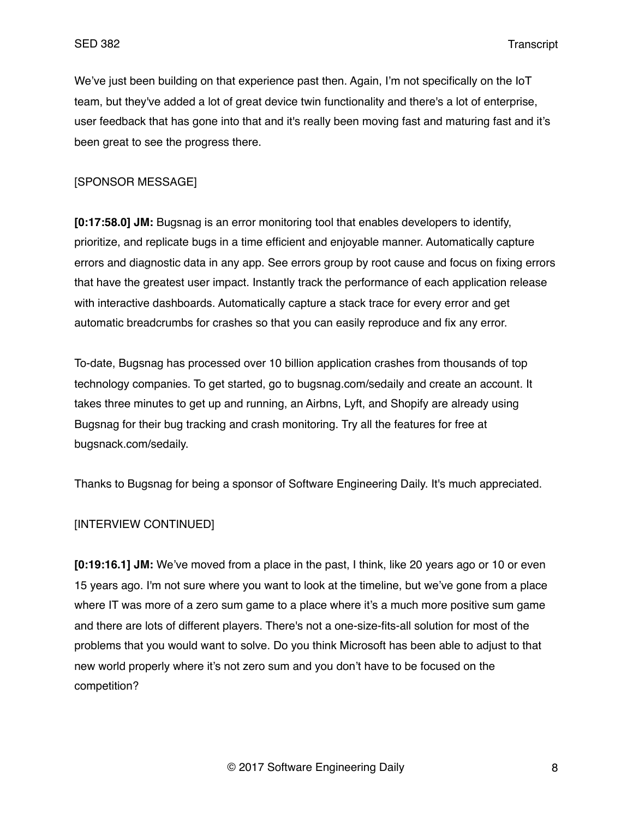We've just been building on that experience past then. Again, I'm not specifically on the IoT team, but they've added a lot of great device twin functionality and there's a lot of enterprise, user feedback that has gone into that and it's really been moving fast and maturing fast and it's been great to see the progress there.

### [SPONSOR MESSAGE]

**[0:17:58.0] JM:** Bugsnag is an error monitoring tool that enables developers to identify, prioritize, and replicate bugs in a time efficient and enjoyable manner. Automatically capture errors and diagnostic data in any app. See errors group by root cause and focus on fixing errors that have the greatest user impact. Instantly track the performance of each application release with interactive dashboards. Automatically capture a stack trace for every error and get automatic breadcrumbs for crashes so that you can easily reproduce and fix any error.

To-date, Bugsnag has processed over 10 billion application crashes from thousands of top technology companies. To get started, go to bugsnag.com/sedaily and create an account. It takes three minutes to get up and running, an Airbns, Lyft, and Shopify are already using Bugsnag for their bug tracking and crash monitoring. Try all the features for free at bugsnack.com/sedaily.

Thanks to Bugsnag for being a sponsor of Software Engineering Daily. It's much appreciated.

#### [INTERVIEW CONTINUED]

**[0:19:16.1] JM:** We've moved from a place in the past, I think, like 20 years ago or 10 or even 15 years ago. I'm not sure where you want to look at the timeline, but we've gone from a place where IT was more of a zero sum game to a place where it's a much more positive sum game and there are lots of different players. There's not a one-size-fits-all solution for most of the problems that you would want to solve. Do you think Microsoft has been able to adjust to that new world properly where it's not zero sum and you don't have to be focused on the competition?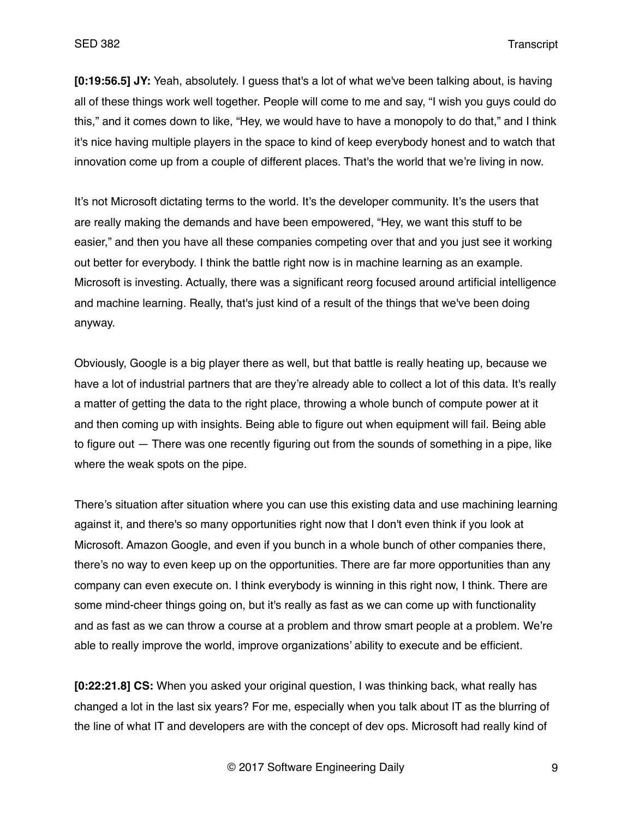**[0:19:56.5] JY:** Yeah, absolutely. I guess that's a lot of what we've been talking about, is having all of these things work well together. People will come to me and say, "I wish you guys could do this," and it comes down to like, "Hey, we would have to have a monopoly to do that," and I think it's nice having multiple players in the space to kind of keep everybody honest and to watch that innovation come up from a couple of different places. That's the world that we're living in now.

It's not Microsoft dictating terms to the world. It's the developer community. It's the users that are really making the demands and have been empowered, "Hey, we want this stuff to be easier," and then you have all these companies competing over that and you just see it working out better for everybody. I think the battle right now is in machine learning as an example. Microsoft is investing. Actually, there was a significant reorg focused around artificial intelligence and machine learning. Really, that's just kind of a result of the things that we've been doing anyway.

Obviously, Google is a big player there as well, but that battle is really heating up, because we have a lot of industrial partners that are they're already able to collect a lot of this data. It's really a matter of getting the data to the right place, throwing a whole bunch of compute power at it and then coming up with insights. Being able to figure out when equipment will fail. Being able to figure out — There was one recently figuring out from the sounds of something in a pipe, like where the weak spots on the pipe.

There's situation after situation where you can use this existing data and use machining learning against it, and there's so many opportunities right now that I don't even think if you look at Microsoft. Amazon Google, and even if you bunch in a whole bunch of other companies there, there's no way to even keep up on the opportunities. There are far more opportunities than any company can even execute on. I think everybody is winning in this right now, I think. There are some mind-cheer things going on, but it's really as fast as we can come up with functionality and as fast as we can throw a course at a problem and throw smart people at a problem. We're able to really improve the world, improve organizations' ability to execute and be efficient.

**[0:22:21.8] CS:** When you asked your original question, I was thinking back, what really has changed a lot in the last six years? For me, especially when you talk about IT as the blurring of the line of what IT and developers are with the concept of dev ops. Microsoft had really kind of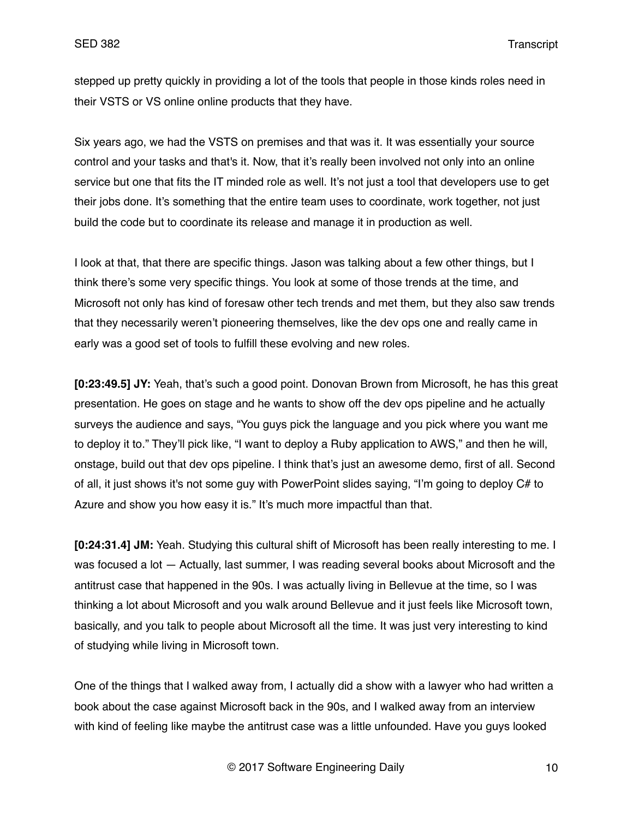stepped up pretty quickly in providing a lot of the tools that people in those kinds roles need in their VSTS or VS online online products that they have.

Six years ago, we had the VSTS on premises and that was it. It was essentially your source control and your tasks and that's it. Now, that it's really been involved not only into an online service but one that fits the IT minded role as well. It's not just a tool that developers use to get their jobs done. It's something that the entire team uses to coordinate, work together, not just build the code but to coordinate its release and manage it in production as well.

I look at that, that there are specific things. Jason was talking about a few other things, but I think there's some very specific things. You look at some of those trends at the time, and Microsoft not only has kind of foresaw other tech trends and met them, but they also saw trends that they necessarily weren't pioneering themselves, like the dev ops one and really came in early was a good set of tools to fulfill these evolving and new roles.

**[0:23:49.5] JY:** Yeah, that's such a good point. Donovan Brown from Microsoft, he has this great presentation. He goes on stage and he wants to show off the dev ops pipeline and he actually surveys the audience and says, "You guys pick the language and you pick where you want me to deploy it to." They'll pick like, "I want to deploy a Ruby application to AWS," and then he will, onstage, build out that dev ops pipeline. I think that's just an awesome demo, first of all. Second of all, it just shows it's not some guy with PowerPoint slides saying, "I'm going to deploy C# to Azure and show you how easy it is." It's much more impactful than that.

**[0:24:31.4] JM:** Yeah. Studying this cultural shift of Microsoft has been really interesting to me. I was focused a lot — Actually, last summer, I was reading several books about Microsoft and the antitrust case that happened in the 90s. I was actually living in Bellevue at the time, so I was thinking a lot about Microsoft and you walk around Bellevue and it just feels like Microsoft town, basically, and you talk to people about Microsoft all the time. It was just very interesting to kind of studying while living in Microsoft town.

One of the things that I walked away from, I actually did a show with a lawyer who had written a book about the case against Microsoft back in the 90s, and I walked away from an interview with kind of feeling like maybe the antitrust case was a little unfounded. Have you guys looked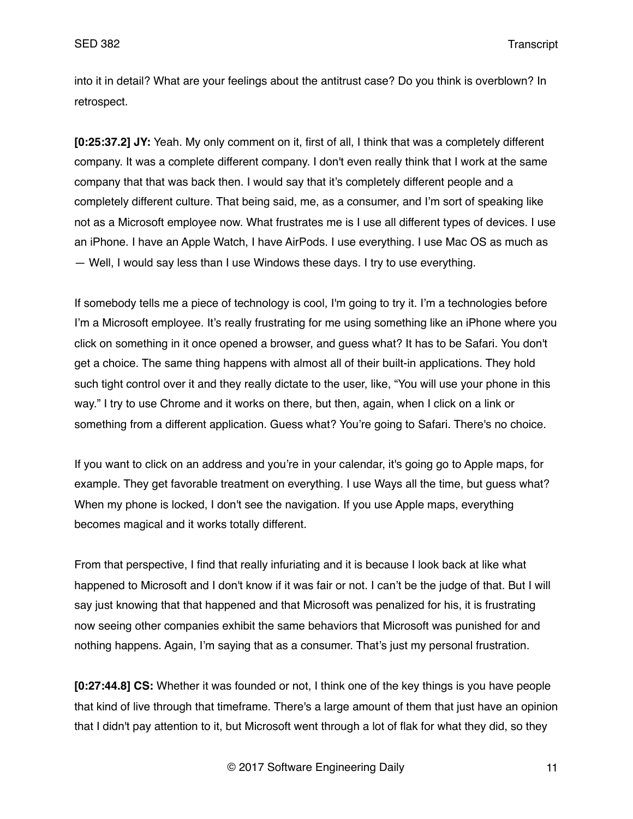into it in detail? What are your feelings about the antitrust case? Do you think is overblown? In retrospect.

**[0:25:37.2] JY:** Yeah. My only comment on it, first of all, I think that was a completely different company. It was a complete different company. I don't even really think that I work at the same company that that was back then. I would say that it's completely different people and a completely different culture. That being said, me, as a consumer, and I'm sort of speaking like not as a Microsoft employee now. What frustrates me is I use all different types of devices. I use an iPhone. I have an Apple Watch, I have AirPods. I use everything. I use Mac OS as much as — Well, I would say less than I use Windows these days. I try to use everything.

If somebody tells me a piece of technology is cool, I'm going to try it. I'm a technologies before I'm a Microsoft employee. It's really frustrating for me using something like an iPhone where you click on something in it once opened a browser, and guess what? It has to be Safari. You don't get a choice. The same thing happens with almost all of their built-in applications. They hold such tight control over it and they really dictate to the user, like, "You will use your phone in this way." I try to use Chrome and it works on there, but then, again, when I click on a link or something from a different application. Guess what? You're going to Safari. There's no choice.

If you want to click on an address and you're in your calendar, it's going go to Apple maps, for example. They get favorable treatment on everything. I use Ways all the time, but guess what? When my phone is locked, I don't see the navigation. If you use Apple maps, everything becomes magical and it works totally different.

From that perspective, I find that really infuriating and it is because I look back at like what happened to Microsoft and I don't know if it was fair or not. I can't be the judge of that. But I will say just knowing that that happened and that Microsoft was penalized for his, it is frustrating now seeing other companies exhibit the same behaviors that Microsoft was punished for and nothing happens. Again, I'm saying that as a consumer. That's just my personal frustration.

**[0:27:44.8] CS:** Whether it was founded or not, I think one of the key things is you have people that kind of live through that timeframe. There's a large amount of them that just have an opinion that I didn't pay attention to it, but Microsoft went through a lot of flak for what they did, so they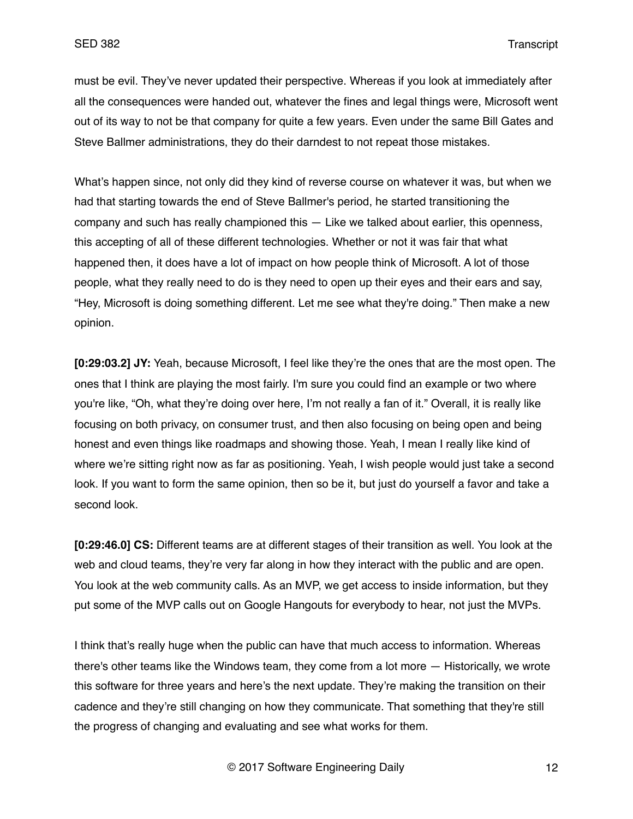must be evil. They've never updated their perspective. Whereas if you look at immediately after all the consequences were handed out, whatever the fines and legal things were, Microsoft went out of its way to not be that company for quite a few years. Even under the same Bill Gates and Steve Ballmer administrations, they do their darndest to not repeat those mistakes.

What's happen since, not only did they kind of reverse course on whatever it was, but when we had that starting towards the end of Steve Ballmer's period, he started transitioning the company and such has really championed this — Like we talked about earlier, this openness, this accepting of all of these different technologies. Whether or not it was fair that what happened then, it does have a lot of impact on how people think of Microsoft. A lot of those people, what they really need to do is they need to open up their eyes and their ears and say, "Hey, Microsoft is doing something different. Let me see what they're doing." Then make a new opinion.

**[0:29:03.2] JY:** Yeah, because Microsoft, I feel like they're the ones that are the most open. The ones that I think are playing the most fairly. I'm sure you could find an example or two where you're like, "Oh, what they're doing over here, I'm not really a fan of it." Overall, it is really like focusing on both privacy, on consumer trust, and then also focusing on being open and being honest and even things like roadmaps and showing those. Yeah, I mean I really like kind of where we're sitting right now as far as positioning. Yeah, I wish people would just take a second look. If you want to form the same opinion, then so be it, but just do yourself a favor and take a second look.

**[0:29:46.0] CS:** Different teams are at different stages of their transition as well. You look at the web and cloud teams, they're very far along in how they interact with the public and are open. You look at the web community calls. As an MVP, we get access to inside information, but they put some of the MVP calls out on Google Hangouts for everybody to hear, not just the MVPs.

I think that's really huge when the public can have that much access to information. Whereas there's other teams like the Windows team, they come from a lot more — Historically, we wrote this software for three years and here's the next update. They're making the transition on their cadence and they're still changing on how they communicate. That something that they're still the progress of changing and evaluating and see what works for them.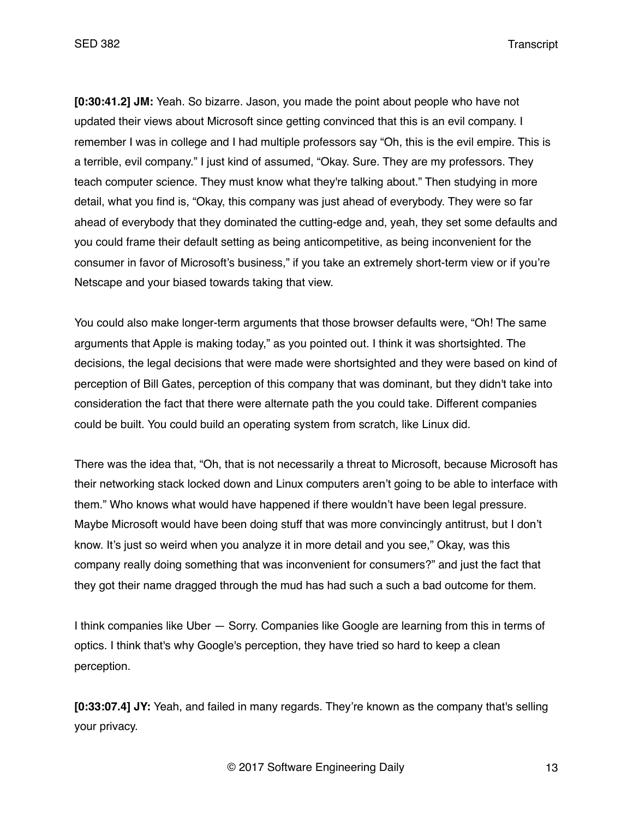**[0:30:41.2] JM:** Yeah. So bizarre. Jason, you made the point about people who have not updated their views about Microsoft since getting convinced that this is an evil company. I remember I was in college and I had multiple professors say "Oh, this is the evil empire. This is a terrible, evil company." I just kind of assumed, "Okay. Sure. They are my professors. They teach computer science. They must know what they're talking about." Then studying in more detail, what you find is, "Okay, this company was just ahead of everybody. They were so far ahead of everybody that they dominated the cutting-edge and, yeah, they set some defaults and you could frame their default setting as being anticompetitive, as being inconvenient for the consumer in favor of Microsoft's business," if you take an extremely short-term view or if you're Netscape and your biased towards taking that view.

You could also make longer-term arguments that those browser defaults were, "Oh! The same arguments that Apple is making today," as you pointed out. I think it was shortsighted. The decisions, the legal decisions that were made were shortsighted and they were based on kind of perception of Bill Gates, perception of this company that was dominant, but they didn't take into consideration the fact that there were alternate path the you could take. Different companies could be built. You could build an operating system from scratch, like Linux did.

There was the idea that, "Oh, that is not necessarily a threat to Microsoft, because Microsoft has their networking stack locked down and Linux computers aren't going to be able to interface with them." Who knows what would have happened if there wouldn't have been legal pressure. Maybe Microsoft would have been doing stuff that was more convincingly antitrust, but I don't know. It's just so weird when you analyze it in more detail and you see," Okay, was this company really doing something that was inconvenient for consumers?" and just the fact that they got their name dragged through the mud has had such a such a bad outcome for them.

I think companies like Uber — Sorry. Companies like Google are learning from this in terms of optics. I think that's why Google's perception, they have tried so hard to keep a clean perception.

**[0:33:07.4] JY:** Yeah, and failed in many regards. They're known as the company that's selling your privacy.

© 2017 Software Engineering Daily 13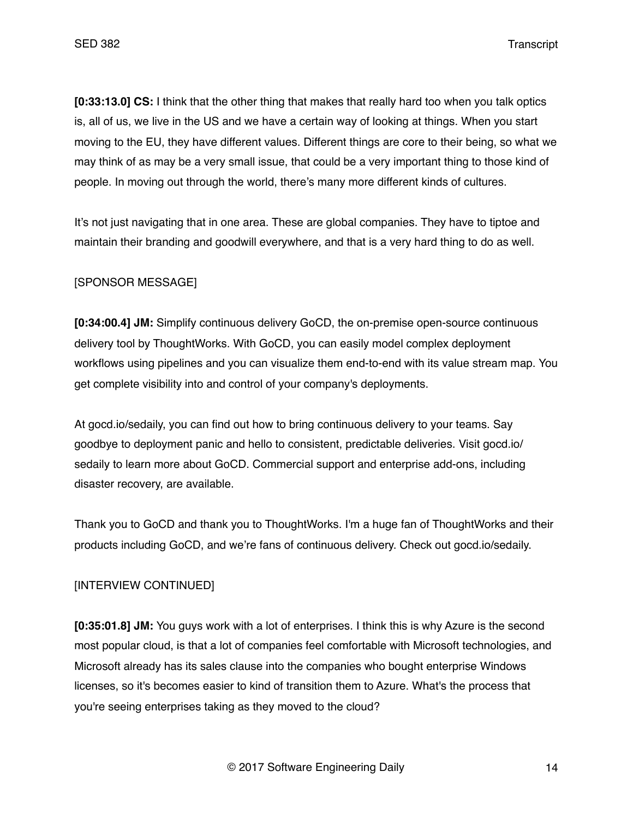**[0:33:13.0] CS:** I think that the other thing that makes that really hard too when you talk optics is, all of us, we live in the US and we have a certain way of looking at things. When you start moving to the EU, they have different values. Different things are core to their being, so what we may think of as may be a very small issue, that could be a very important thing to those kind of people. In moving out through the world, there's many more different kinds of cultures.

It's not just navigating that in one area. These are global companies. They have to tiptoe and maintain their branding and goodwill everywhere, and that is a very hard thing to do as well.

## [SPONSOR MESSAGE]

**[0:34:00.4] JM:** Simplify continuous delivery GoCD, the on-premise open-source continuous delivery tool by ThoughtWorks. With GoCD, you can easily model complex deployment workflows using pipelines and you can visualize them end-to-end with its value stream map. You get complete visibility into and control of your company's deployments.

At gocd.io/sedaily, you can find out how to bring continuous delivery to your teams. Say goodbye to deployment panic and hello to consistent, predictable deliveries. Visit gocd.io/ sedaily to learn more about GoCD. Commercial support and enterprise add-ons, including disaster recovery, are available.

Thank you to GoCD and thank you to ThoughtWorks. I'm a huge fan of ThoughtWorks and their products including GoCD, and we're fans of continuous delivery. Check out gocd.io/sedaily.

## [INTERVIEW CONTINUED]

**[0:35:01.8] JM:** You guys work with a lot of enterprises. I think this is why Azure is the second most popular cloud, is that a lot of companies feel comfortable with Microsoft technologies, and Microsoft already has its sales clause into the companies who bought enterprise Windows licenses, so it's becomes easier to kind of transition them to Azure. What's the process that you're seeing enterprises taking as they moved to the cloud?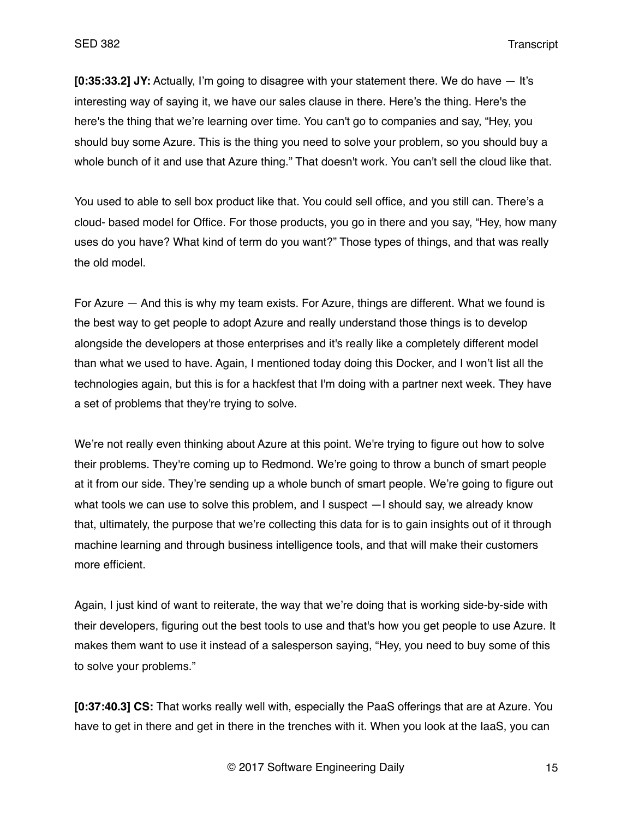**[0:35:33.2] JY:** Actually, I'm going to disagree with your statement there. We do have — It's interesting way of saying it, we have our sales clause in there. Here's the thing. Here's the here's the thing that we're learning over time. You can't go to companies and say, "Hey, you should buy some Azure. This is the thing you need to solve your problem, so you should buy a whole bunch of it and use that Azure thing." That doesn't work. You can't sell the cloud like that.

You used to able to sell box product like that. You could sell office, and you still can. There's a cloud- based model for Office. For those products, you go in there and you say, "Hey, how many uses do you have? What kind of term do you want?" Those types of things, and that was really the old model.

For Azure — And this is why my team exists. For Azure, things are different. What we found is the best way to get people to adopt Azure and really understand those things is to develop alongside the developers at those enterprises and it's really like a completely different model than what we used to have. Again, I mentioned today doing this Docker, and I won't list all the technologies again, but this is for a hackfest that I'm doing with a partner next week. They have a set of problems that they're trying to solve.

We're not really even thinking about Azure at this point. We're trying to figure out how to solve their problems. They're coming up to Redmond. We're going to throw a bunch of smart people at it from our side. They're sending up a whole bunch of smart people. We're going to figure out what tools we can use to solve this problem, and I suspect —I should say, we already know that, ultimately, the purpose that we're collecting this data for is to gain insights out of it through machine learning and through business intelligence tools, and that will make their customers more efficient.

Again, I just kind of want to reiterate, the way that we're doing that is working side-by-side with their developers, figuring out the best tools to use and that's how you get people to use Azure. It makes them want to use it instead of a salesperson saying, "Hey, you need to buy some of this to solve your problems."

**[0:37:40.3] CS:** That works really well with, especially the PaaS offerings that are at Azure. You have to get in there and get in there in the trenches with it. When you look at the IaaS, you can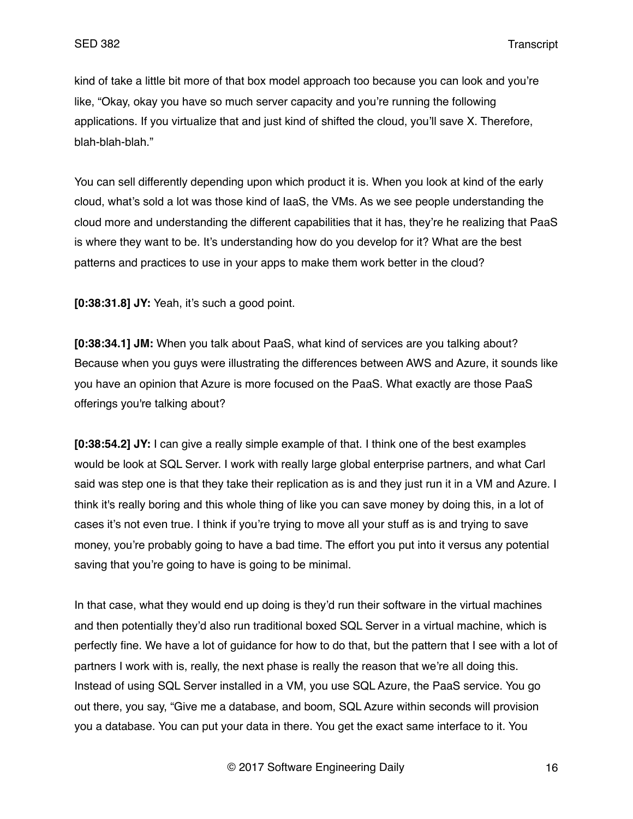kind of take a little bit more of that box model approach too because you can look and you're like, "Okay, okay you have so much server capacity and you're running the following applications. If you virtualize that and just kind of shifted the cloud, you'll save X. Therefore, blah-blah-blah."

You can sell differently depending upon which product it is. When you look at kind of the early cloud, what's sold a lot was those kind of IaaS, the VMs. As we see people understanding the cloud more and understanding the different capabilities that it has, they're he realizing that PaaS is where they want to be. It's understanding how do you develop for it? What are the best patterns and practices to use in your apps to make them work better in the cloud?

**[0:38:31.8] JY:** Yeah, it's such a good point.

**[0:38:34.1] JM:** When you talk about PaaS, what kind of services are you talking about? Because when you guys were illustrating the differences between AWS and Azure, it sounds like you have an opinion that Azure is more focused on the PaaS. What exactly are those PaaS offerings you're talking about?

**[0:38:54.2] JY:** I can give a really simple example of that. I think one of the best examples would be look at SQL Server. I work with really large global enterprise partners, and what Carl said was step one is that they take their replication as is and they just run it in a VM and Azure. I think it's really boring and this whole thing of like you can save money by doing this, in a lot of cases it's not even true. I think if you're trying to move all your stuff as is and trying to save money, you're probably going to have a bad time. The effort you put into it versus any potential saving that you're going to have is going to be minimal.

In that case, what they would end up doing is they'd run their software in the virtual machines and then potentially they'd also run traditional boxed SQL Server in a virtual machine, which is perfectly fine. We have a lot of guidance for how to do that, but the pattern that I see with a lot of partners I work with is, really, the next phase is really the reason that we're all doing this. Instead of using SQL Server installed in a VM, you use SQL Azure, the PaaS service. You go out there, you say, "Give me a database, and boom, SQL Azure within seconds will provision you a database. You can put your data in there. You get the exact same interface to it. You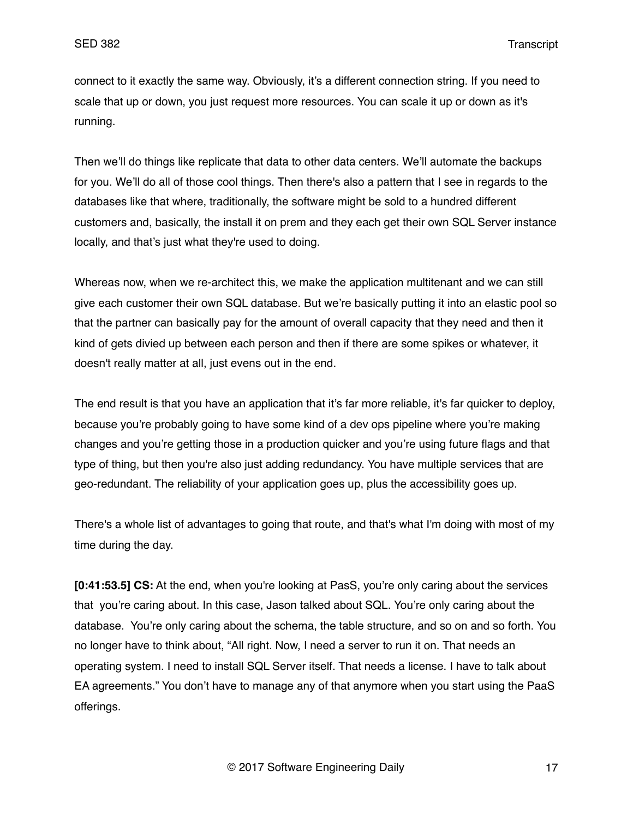connect to it exactly the same way. Obviously, it's a different connection string. If you need to scale that up or down, you just request more resources. You can scale it up or down as it's running.

Then we'll do things like replicate that data to other data centers. We'll automate the backups for you. We'll do all of those cool things. Then there's also a pattern that I see in regards to the databases like that where, traditionally, the software might be sold to a hundred different customers and, basically, the install it on prem and they each get their own SQL Server instance locally, and that's just what they're used to doing.

Whereas now, when we re-architect this, we make the application multitenant and we can still give each customer their own SQL database. But we're basically putting it into an elastic pool so that the partner can basically pay for the amount of overall capacity that they need and then it kind of gets divied up between each person and then if there are some spikes or whatever, it doesn't really matter at all, just evens out in the end.

The end result is that you have an application that it's far more reliable, it's far quicker to deploy, because you're probably going to have some kind of a dev ops pipeline where you're making changes and you're getting those in a production quicker and you're using future flags and that type of thing, but then you're also just adding redundancy. You have multiple services that are geo-redundant. The reliability of your application goes up, plus the accessibility goes up.

There's a whole list of advantages to going that route, and that's what I'm doing with most of my time during the day.

**[0:41:53.5] CS:** At the end, when you're looking at PasS, you're only caring about the services that you're caring about. In this case, Jason talked about SQL. You're only caring about the database. You're only caring about the schema, the table structure, and so on and so forth. You no longer have to think about, "All right. Now, I need a server to run it on. That needs an operating system. I need to install SQL Server itself. That needs a license. I have to talk about EA agreements." You don't have to manage any of that anymore when you start using the PaaS offerings.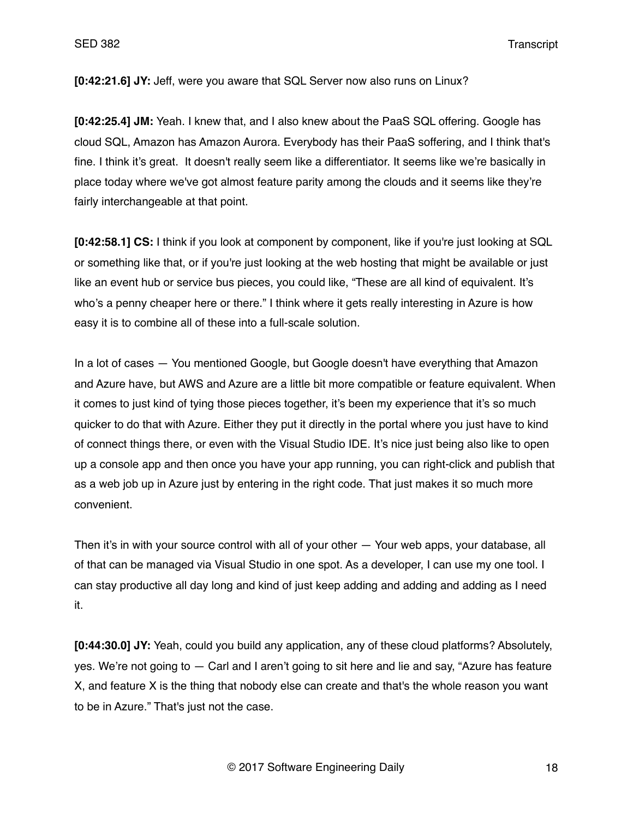**[0:42:21.6] JY:** Jeff, were you aware that SQL Server now also runs on Linux?

**[0:42:25.4] JM:** Yeah. I knew that, and I also knew about the PaaS SQL offering. Google has cloud SQL, Amazon has Amazon Aurora. Everybody has their PaaS soffering, and I think that's fine. I think it's great. It doesn't really seem like a differentiator. It seems like we're basically in place today where we've got almost feature parity among the clouds and it seems like they're fairly interchangeable at that point.

**[0:42:58.1] CS:** I think if you look at component by component, like if you're just looking at SQL or something like that, or if you're just looking at the web hosting that might be available or just like an event hub or service bus pieces, you could like, "These are all kind of equivalent. It's who's a penny cheaper here or there." I think where it gets really interesting in Azure is how easy it is to combine all of these into a full-scale solution.

In a lot of cases — You mentioned Google, but Google doesn't have everything that Amazon and Azure have, but AWS and Azure are a little bit more compatible or feature equivalent. When it comes to just kind of tying those pieces together, it's been my experience that it's so much quicker to do that with Azure. Either they put it directly in the portal where you just have to kind of connect things there, or even with the Visual Studio IDE. It's nice just being also like to open up a console app and then once you have your app running, you can right-click and publish that as a web job up in Azure just by entering in the right code. That just makes it so much more convenient.

Then it's in with your source control with all of your other — Your web apps, your database, all of that can be managed via Visual Studio in one spot. As a developer, I can use my one tool. I can stay productive all day long and kind of just keep adding and adding and adding as I need it.

**[0:44:30.0] JY:** Yeah, could you build any application, any of these cloud platforms? Absolutely, yes. We're not going to — Carl and I aren't going to sit here and lie and say, "Azure has feature X, and feature X is the thing that nobody else can create and that's the whole reason you want to be in Azure." That's just not the case.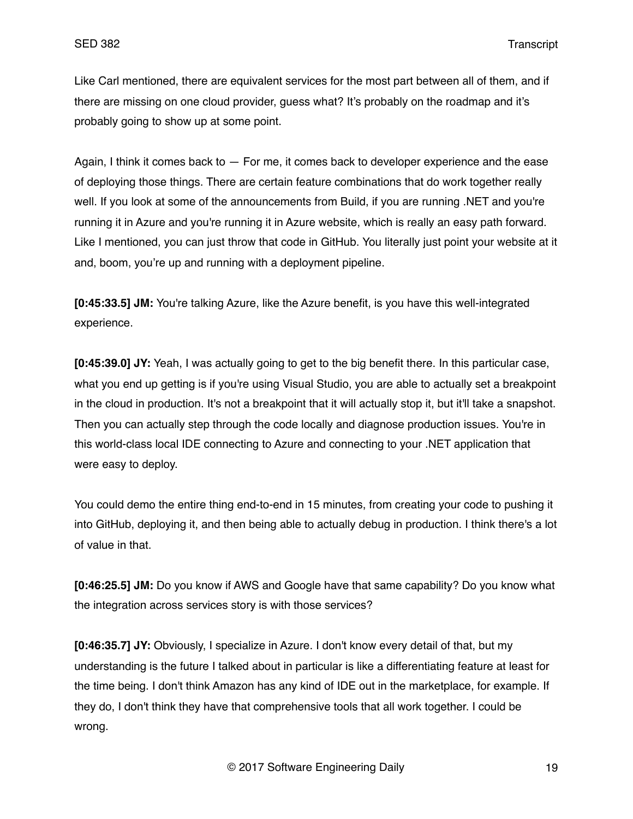Like Carl mentioned, there are equivalent services for the most part between all of them, and if there are missing on one cloud provider, guess what? It's probably on the roadmap and it's probably going to show up at some point.

Again, I think it comes back to — For me, it comes back to developer experience and the ease of deploying those things. There are certain feature combinations that do work together really well. If you look at some of the announcements from Build, if you are running .NET and you're running it in Azure and you're running it in Azure website, which is really an easy path forward. Like I mentioned, you can just throw that code in GitHub. You literally just point your website at it and, boom, you're up and running with a deployment pipeline.

**[0:45:33.5] JM:** You're talking Azure, like the Azure benefit, is you have this well-integrated experience.

**[0:45:39.0] JY:** Yeah, I was actually going to get to the big benefit there. In this particular case, what you end up getting is if you're using Visual Studio, you are able to actually set a breakpoint in the cloud in production. It's not a breakpoint that it will actually stop it, but it'll take a snapshot. Then you can actually step through the code locally and diagnose production issues. You're in this world-class local IDE connecting to Azure and connecting to your .NET application that were easy to deploy.

You could demo the entire thing end-to-end in 15 minutes, from creating your code to pushing it into GitHub, deploying it, and then being able to actually debug in production. I think there's a lot of value in that.

**[0:46:25.5] JM:** Do you know if AWS and Google have that same capability? Do you know what the integration across services story is with those services?

**[0:46:35.7] JY:** Obviously, I specialize in Azure. I don't know every detail of that, but my understanding is the future I talked about in particular is like a differentiating feature at least for the time being. I don't think Amazon has any kind of IDE out in the marketplace, for example. If they do, I don't think they have that comprehensive tools that all work together. I could be wrong.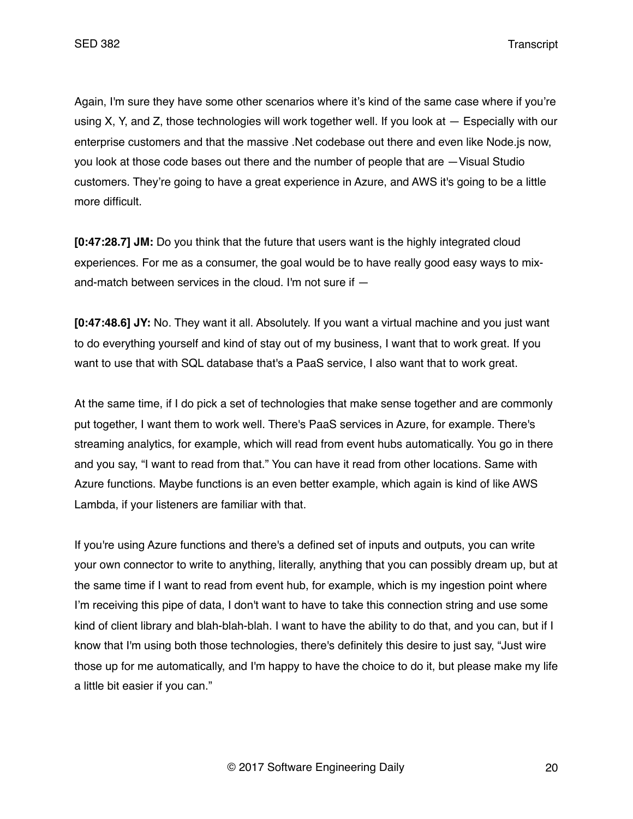Again, I'm sure they have some other scenarios where it's kind of the same case where if you're using X, Y, and Z, those technologies will work together well. If you look at — Especially with our enterprise customers and that the massive .Net codebase out there and even like Node.js now, you look at those code bases out there and the number of people that are —Visual Studio customers. They're going to have a great experience in Azure, and AWS it's going to be a little more difficult.

**[0:47:28.7] JM:** Do you think that the future that users want is the highly integrated cloud experiences. For me as a consumer, the goal would be to have really good easy ways to mixand-match between services in the cloud. I'm not sure if —

**[0:47:48.6] JY:** No. They want it all. Absolutely. If you want a virtual machine and you just want to do everything yourself and kind of stay out of my business, I want that to work great. If you want to use that with SQL database that's a PaaS service, I also want that to work great.

At the same time, if I do pick a set of technologies that make sense together and are commonly put together, I want them to work well. There's PaaS services in Azure, for example. There's streaming analytics, for example, which will read from event hubs automatically. You go in there and you say, "I want to read from that." You can have it read from other locations. Same with Azure functions. Maybe functions is an even better example, which again is kind of like AWS Lambda, if your listeners are familiar with that.

If you're using Azure functions and there's a defined set of inputs and outputs, you can write your own connector to write to anything, literally, anything that you can possibly dream up, but at the same time if I want to read from event hub, for example, which is my ingestion point where I'm receiving this pipe of data, I don't want to have to take this connection string and use some kind of client library and blah-blah-blah. I want to have the ability to do that, and you can, but if I know that I'm using both those technologies, there's definitely this desire to just say, "Just wire those up for me automatically, and I'm happy to have the choice to do it, but please make my life a little bit easier if you can."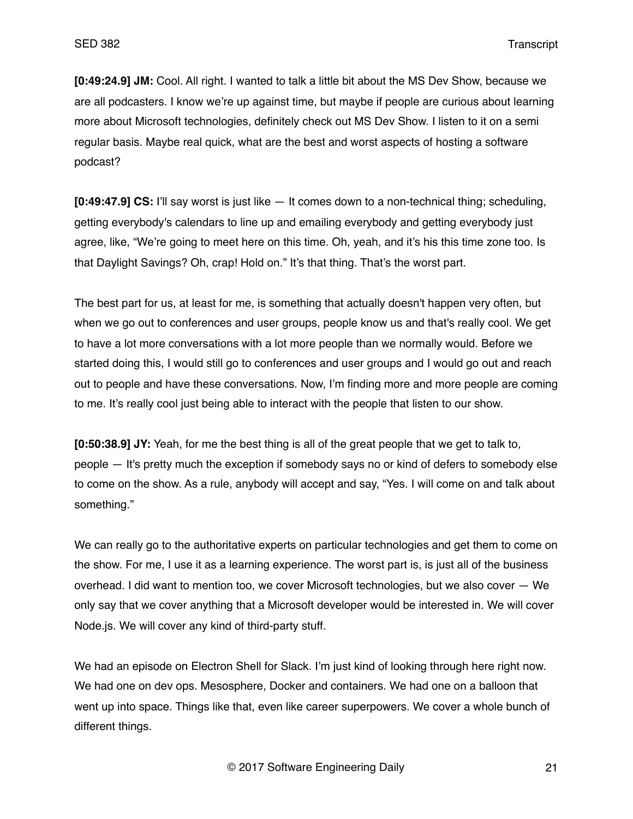**[0:49:24.9] JM:** Cool. All right. I wanted to talk a little bit about the MS Dev Show, because we are all podcasters. I know we're up against time, but maybe if people are curious about learning more about Microsoft technologies, definitely check out MS Dev Show. I listen to it on a semi regular basis. Maybe real quick, what are the best and worst aspects of hosting a software podcast?

**[0:49:47.9] CS:** I'll say worst is just like — It comes down to a non-technical thing; scheduling, getting everybody's calendars to line up and emailing everybody and getting everybody just agree, like, "We're going to meet here on this time. Oh, yeah, and it's his this time zone too. Is that Daylight Savings? Oh, crap! Hold on." It's that thing. That's the worst part.

The best part for us, at least for me, is something that actually doesn't happen very often, but when we go out to conferences and user groups, people know us and that's really cool. We get to have a lot more conversations with a lot more people than we normally would. Before we started doing this, I would still go to conferences and user groups and I would go out and reach out to people and have these conversations. Now, I'm finding more and more people are coming to me. It's really cool just being able to interact with the people that listen to our show.

**[0:50:38.9] JY:** Yeah, for me the best thing is all of the great people that we get to talk to, people — It's pretty much the exception if somebody says no or kind of defers to somebody else to come on the show. As a rule, anybody will accept and say, "Yes. I will come on and talk about something."

We can really go to the authoritative experts on particular technologies and get them to come on the show. For me, I use it as a learning experience. The worst part is, is just all of the business overhead. I did want to mention too, we cover Microsoft technologies, but we also cover — We only say that we cover anything that a Microsoft developer would be interested in. We will cover Node.js. We will cover any kind of third-party stuff.

We had an episode on Electron Shell for Slack. I'm just kind of looking through here right now. We had one on dev ops. Mesosphere, Docker and containers. We had one on a balloon that went up into space. Things like that, even like career superpowers. We cover a whole bunch of different things.